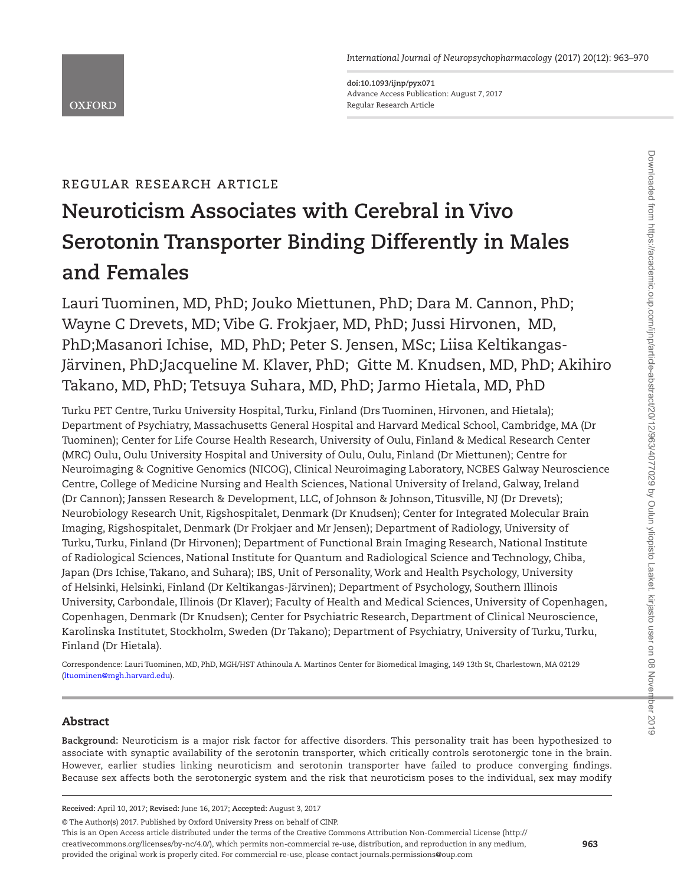**doi:10.1093/ijnp/pyx071** Advance Access Publication: August 7, 2017 Regular Research Article

# **OXFORD**

# regular research article

# **Neuroticism Associates with Cerebral in Vivo Serotonin Transporter Binding Differently in Males and Females**

Lauri Tuominen, MD, PhD; Jouko Miettunen, PhD; Dara M. Cannon, PhD; Wayne C Drevets, MD; Vibe G. Frokjaer, MD, PhD; Jussi Hirvonen, MD, PhD;Masanori Ichise, MD, PhD; Peter S. Jensen, MSc; Liisa Keltikangas-Järvinen, PhD;Jacqueline M. Klaver, PhD; Gitte M. Knudsen, MD, PhD; Akihiro Takano, MD, PhD; Tetsuya Suhara, MD, PhD; Jarmo Hietala, MD, PhD

Turku PET Centre, Turku University Hospital, Turku, Finland (Drs Tuominen, Hirvonen, and Hietala); Department of Psychiatry, Massachusetts General Hospital and Harvard Medical School, Cambridge, MA (Dr Tuominen); Center for Life Course Health Research, University of Oulu, Finland & Medical Research Center (MRC) Oulu, Oulu University Hospital and University of Oulu, Oulu, Finland (Dr Miettunen); Centre for Neuroimaging & Cognitive Genomics (NICOG), Clinical Neuroimaging Laboratory, NCBES Galway Neuroscience Centre, College of Medicine Nursing and Health Sciences, National University of Ireland, Galway, Ireland (Dr Cannon); Janssen Research & Development, LLC, of Johnson & Johnson, Titusville, NJ (Dr Drevets); Neurobiology Research Unit, Rigshospitalet, Denmark (Dr Knudsen); Center for Integrated Molecular Brain Imaging, Rigshospitalet, Denmark (Dr Frokjaer and Mr Jensen); Department of Radiology, University of Turku, Turku, Finland (Dr Hirvonen); Department of Functional Brain Imaging Research, National Institute of Radiological Sciences, National Institute for Quantum and Radiological Science and Technology, Chiba, Japan (Drs Ichise, Takano, and Suhara); IBS, Unit of Personality, Work and Health Psychology, University of Helsinki, Helsinki, Finland (Dr Keltikangas-Järvinen); Department of Psychology, Southern Illinois University, Carbondale, Illinois (Dr Klaver); Faculty of Health and Medical Sciences, University of Copenhagen, Copenhagen, Denmark (Dr Knudsen); Center for Psychiatric Research, Department of Clinical Neuroscience, Karolinska Institutet, Stockholm, Sweden (Dr Takano); Department of Psychiatry, University of Turku, Turku, Finland (Dr Hietala).

Correspondence: Lauri Tuominen, MD, PhD, MGH/HST Athinoula A. Martinos Center for Biomedical Imaging, 149 13th St, Charlestown, MA 02129 ([ltuominen@mgh.harvard.edu](mailto:ltuominen@mgh.harvard.edu?subject=)).

## Abstract

**Background:** Neuroticism is a major risk factor for affective disorders. This personality trait has been hypothesized to associate with synaptic availability of the serotonin transporter, which critically controls serotonergic tone in the brain. However, earlier studies linking neuroticism and serotonin transporter have failed to produce converging findings. Because sex affects both the serotonergic system and the risk that neuroticism poses to the individual, sex may modify

This is an Open Access article distributed under the terms of the Creative Commons Attribution Non-Commercial License (http:// creativecommons.org/licenses/by-nc/4.0/), which permits non-commercial re-use, distribution, and reproduction in any medium, provided the original work is properly cited. For commercial re-use, please contact journals.permissions@oup.com

**Received:** April 10, 2017; **Revised:** June 16, 2017; **Accepted:** August 3, 2017

<sup>©</sup> The Author(s) 2017. Published by Oxford University Press on behalf of CINP.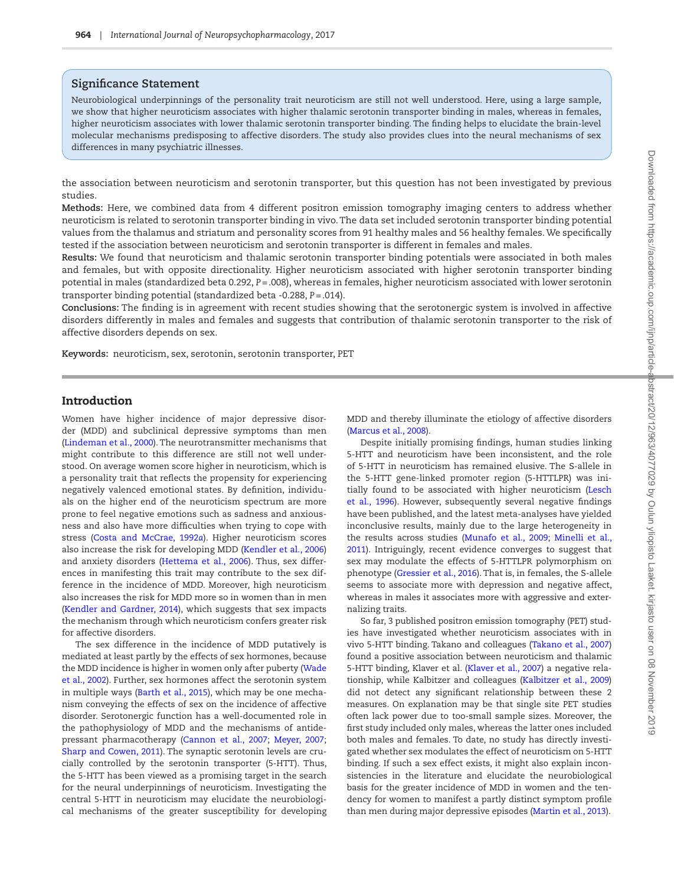#### **Significance Statement**

Neurobiological underpinnings of the personality trait neuroticism are still not well understood. Here, using a large sample, we show that higher neuroticism associates with higher thalamic serotonin transporter binding in males, whereas in females, higher neuroticism associates with lower thalamic serotonin transporter binding. The finding helps to elucidate the brain-level molecular mechanisms predisposing to affective disorders. The study also provides clues into the neural mechanisms of sex differences in many psychiatric illnesses.

the association between neuroticism and serotonin transporter, but this question has not been investigated by previous studies.

**Methods:** Here, we combined data from 4 different positron emission tomography imaging centers to address whether neuroticism is related to serotonin transporter binding in vivo. The data set included serotonin transporter binding potential values from the thalamus and striatum and personality scores from 91 healthy males and 56 healthy females. We specifically tested if the association between neuroticism and serotonin transporter is different in females and males.

**Results:** We found that neuroticism and thalamic serotonin transporter binding potentials were associated in both males and females, but with opposite directionality. Higher neuroticism associated with higher serotonin transporter binding potential in males (standardized beta 0.292, *P*=.008), whereas in females, higher neuroticism associated with lower serotonin transporter binding potential (standardized beta -0.288, *P*=.014).

**Conclusions:** The finding is in agreement with recent studies showing that the serotonergic system is involved in affective disorders differently in males and females and suggests that contribution of thalamic serotonin transporter to the risk of affective disorders depends on sex.

**Keywords:** neuroticism, sex, serotonin, serotonin transporter, PET

#### Introduction

Women have higher incidence of major depressive disorder (MDD) and subclinical depressive symptoms than men ([Lindeman et al., 2000](#page-6-0)). The neurotransmitter mechanisms that might contribute to this difference are still not well understood. On average women score higher in neuroticism, which is a personality trait that reflects the propensity for experiencing negatively valenced emotional states. By definition, individuals on the higher end of the neuroticism spectrum are more prone to feel negative emotions such as sadness and anxiousness and also have more difficulties when trying to cope with stress ([Costa and McCrae, 1992](#page-5-0)*a*). Higher neuroticism scores also increase the risk for developing MDD [\(Kendler et al., 2006](#page-6-1)) and anxiety disorders ([Hettema et al., 2006](#page-6-1)). Thus, sex differences in manifesting this trait may contribute to the sex difference in the incidence of MDD. Moreover, high neuroticism also increases the risk for MDD more so in women than in men ([Kendler and Gardner, 2014](#page-6-2)), which suggests that sex impacts the mechanism through which neuroticism confers greater risk for affective disorders.

The sex difference in the incidence of MDD putatively is mediated at least partly by the effects of sex hormones, because the MDD incidence is higher in women only after puberty ([Wade](#page-7-0)  [et al., 2002\)](#page-7-0). Further, sex hormones affect the serotonin system in multiple ways ([Barth et al., 2015](#page-5-1)), which may be one mechanism conveying the effects of sex on the incidence of affective disorder. Serotonergic function has a well-documented role in the pathophysiology of MDD and the mechanisms of antidepressant pharmacotherapy ([Cannon et al., 2007](#page-5-2); [Meyer, 2007;](#page-7-1) [Sharp and Cowen, 2011\)](#page-7-2). The synaptic serotonin levels are crucially controlled by the serotonin transporter (5-HTT). Thus, the 5-HTT has been viewed as a promising target in the search for the neural underpinnings of neuroticism. Investigating the central 5-HTT in neuroticism may elucidate the neurobiological mechanisms of the greater susceptibility for developing MDD and thereby illuminate the etiology of affective disorders ([Marcus et al., 2008](#page-6-3)).

Despite initially promising findings, human studies linking 5-HTT and neuroticism have been inconsistent, and the role of 5-HTT in neuroticism has remained elusive. The S-allele in the 5-HTT gene-linked promoter region (5-HTTLPR) was initially found to be associated with higher neuroticism ([Lesch](#page-6-4)  [et al., 1996](#page-6-4)). However, subsequently several negative findings have been published, and the latest meta-analyses have yielded inconclusive results, mainly due to the large heterogeneity in the results across studies ([Munafo et al., 2009](#page-7-3); [Minelli et al.,](#page-7-4)  [2011](#page-7-4)). Intriguingly, recent evidence converges to suggest that sex may modulate the effects of 5-HTTLPR polymorphism on phenotype ([Gressier et al., 2016](#page-6-5)). That is, in females, the S-allele seems to associate more with depression and negative affect, whereas in males it associates more with aggressive and externalizing traits.

So far, 3 published positron emission tomography (PET) studies have investigated whether neuroticism associates with in vivo 5-HTT binding. Takano and colleagues [\(Takano et al., 2007](#page-7-5)) found a positive association between neuroticism and thalamic 5-HTT binding, Klaver et al. [\(Klaver et al., 2007](#page-5-2)) a negative relationship, while Kalbitzer and colleagues ([Kalbitzer et al., 2009](#page-6-6)) did not detect any significant relationship between these 2 measures. On explanation may be that single site PET studies often lack power due to too-small sample sizes. Moreover, the first study included only males, whereas the latter ones included both males and females. To date, no study has directly investigated whether sex modulates the effect of neuroticism on 5-HTT binding. If such a sex effect exists, it might also explain inconsistencies in the literature and elucidate the neurobiological basis for the greater incidence of MDD in women and the tendency for women to manifest a partly distinct symptom profile than men during major depressive episodes ([Martin et al., 2013](#page-7-6)).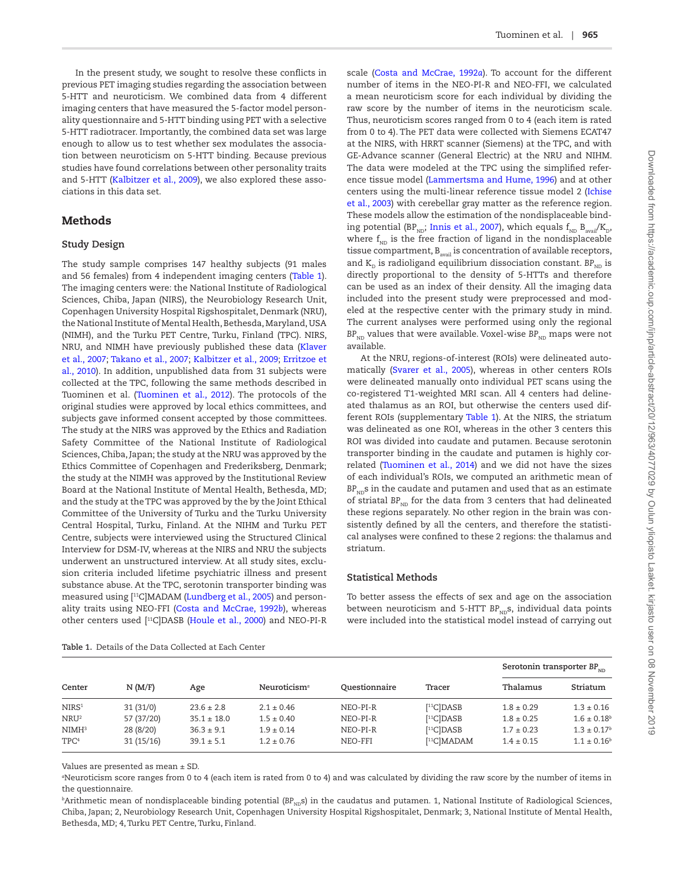In the present study, we sought to resolve these conflicts in previous PET imaging studies regarding the association between 5-HTT and neuroticism. We combined data from 4 different imaging centers that have measured the 5-factor model personality questionnaire and 5-HTT binding using PET with a selective 5-HTT radiotracer. Importantly, the combined data set was large enough to allow us to test whether sex modulates the association between neuroticism on 5-HTT binding. Because previous studies have found correlations between other personality traits and 5-HTT [\(Kalbitzer et al., 2009\)](#page-6-6), we also explored these associations in this data set.

## Methods

#### **Study Design**

The study sample comprises 147 healthy subjects (91 males and 56 females) from 4 independent imaging centers [\(Table 1](#page-2-0)). The imaging centers were: the National Institute of Radiological Sciences, Chiba, Japan (NIRS), the Neurobiology Research Unit, Copenhagen University Hospital Rigshospitalet, Denmark (NRU), the National Institute of Mental Health, Bethesda, Maryland, USA (NIMH), and the Turku PET Centre, Turku, Finland (TPC). NIRS, NRU, and NIMH have previously published these data [\(Klaver](#page-5-2)  [et al., 2007;](#page-5-2) [Takano et al., 2007;](#page-7-5) [Kalbitzer et al., 2009;](#page-6-6) [Erritzoe et](#page-6-7)  [al., 2010\)](#page-6-7). In addition, unpublished data from 31 subjects were collected at the TPC, following the same methods described in Tuominen et al. ([Tuominen et al., 2012](#page-7-7)). The protocols of the original studies were approved by local ethics committees, and subjects gave informed consent accepted by those committees. The study at the NIRS was approved by the Ethics and Radiation Safety Committee of the National Institute of Radiological Sciences, Chiba, Japan; the study at the NRU was approved by the Ethics Committee of Copenhagen and Frederiksberg, Denmark; the study at the NIMH was approved by the Institutional Review Board at the National Institute of Mental Health, Bethesda, MD; and the study at the TPC was approved by the by the Joint Ethical Committee of the University of Turku and the Turku University Central Hospital, Turku, Finland. At the NIHM and Turku PET Centre, subjects were interviewed using the Structured Clinical Interview for DSM-IV, whereas at the NIRS and NRU the subjects underwent an unstructured interview. At all study sites, exclusion criteria included lifetime psychiatric illness and present substance abuse. At the TPC, serotonin transporter binding was measured using [11C]MADAM ([Lundberg et al., 2005\)](#page-6-8) and personality traits using NEO-FFI ([Costa and McCrae, 1992](#page-5-0)*b*), whereas other centers used [11C]DASB ([Houle et al., 2000\)](#page-6-9) and NEO-PI-R

scale [\(Costa and McCrae, 1992](#page-5-0)*a*). To account for the different number of items in the NEO-PI-R and NEO-FFI, we calculated a mean neuroticism score for each individual by dividing the raw score by the number of items in the neuroticism scale. Thus, neuroticism scores ranged from 0 to 4 (each item is rated from 0 to 4). The PET data were collected with Siemens ECAT47 at the NIRS, with HRRT scanner (Siemens) at the TPC, and with GE-Advance scanner (General Electric) at the NRU and NIHM. The data were modeled at the TPC using the simplified reference tissue model ([Lammertsma and Hume, 1996\)](#page-6-10) and at other centers using the multi-linear reference tissue model 2 [\(Ichise](#page-6-11)  [et al., 2003\)](#page-6-11) with cerebellar gray matter as the reference region. These models allow the estimation of the nondisplaceable bind-ing potential (BP<sub>ND</sub>; [Innis et al., 2007](#page-6-12)), which equals  $f_{ND} B_{avain}/K_{D}$ , where  $f_{\text{NLD}}$  is the free fraction of ligand in the nondisplaceable tissue compartment,  $B_{\text{avail}}$  is concentration of available receptors, and  $K_n$  is radioligand equilibrium dissociation constant.  $BP_{\text{NN}}$  is directly proportional to the density of 5-HTTs and therefore can be used as an index of their density. All the imaging data included into the present study were preprocessed and modeled at the respective center with the primary study in mind. The current analyses were performed using only the regional *BP<sub>ND</sub>* values that were available. Voxel-wise *BP<sub>ND</sub>* maps were not available.

At the NRU, regions-of-interest (ROIs) were delineated automatically ([Svarer et al., 2005\)](#page-7-8), whereas in other centers ROIs were delineated manually onto individual PET scans using the co-registered T1-weighted MRI scan. All 4 centers had delineated thalamus as an ROI, but otherwise the centers used different ROIs (supplementary [Table 1](#page-2-0)). At the NIRS, the striatum was delineated as one ROI, whereas in the other 3 centers this ROI was divided into caudate and putamen. Because serotonin transporter binding in the caudate and putamen is highly correlated ([Tuominen et al., 2014](#page-7-9)) and we did not have the sizes of each individual's ROIs, we computed an arithmetic mean of *BP<sub>ND</sub>s* in the caudate and putamen and used that as an estimate of striatal *BP*<sub>ND</sub> for the data from 3 centers that had delineated these regions separately. No other region in the brain was consistently defined by all the centers, and therefore the statistical analyses were confined to these 2 regions: the thalamus and striatum.

#### **Statistical Methods**

To better assess the effects of sex and age on the association between neuroticism and 5-HTT *BP<sub>ND</sub>s*, individual data points were included into the statistical model instead of carrying out

| Center            | N(M/F)     | Age             | Neuroticism <sup>a</sup> | Ouestionnaire | Tracer                        | Serotonin transporter $BP_{\text{nm}}$ |                             |
|-------------------|------------|-----------------|--------------------------|---------------|-------------------------------|----------------------------------------|-----------------------------|
|                   |            |                 |                          |               |                               | Thalamus                               | Striatum                    |
| NIRS <sup>1</sup> | 31(31/0)   | $23.6 \pm 2.8$  | $2.1 \pm 0.46$           | NEO-PI-R      | $[$ <sup>11</sup> C $]$ DASB  | $1.8 \pm 0.29$                         | $1.3 \pm 0.16$              |
| NRU <sup>2</sup>  | 57 (37/20) | $35.1 \pm 18.0$ | $1.5 \pm 0.40$           | NEO-PI-R      | $[^{11}C]DASB$                | $1.8 \pm 0.25$                         | $1.6 \pm 0.18$ <sup>1</sup> |
| NIMH <sup>3</sup> | 28 (8/20)  | $36.3 \pm 9.1$  | $1.9 \pm 0.14$           | NEO-PI-R      | $[$ <sup>11</sup> C $]$ DASB  | $1.7 \pm 0.23$                         | $1.3 \pm 0.17$ <sup>1</sup> |
| TPC <sup>4</sup>  | 31(15/16)  | $39.1 \pm 5.1$  | $1.2 \pm 0.76$           | NEO-FFI       | $[$ <sup>11</sup> C $]$ MADAM | $1.4 \pm 0.15$                         | $1.1 \pm 0.16$ <sup>1</sup> |

<span id="page-2-0"></span>**Table 1.** Details of the Data Collected at Each Center

Values are presented as mean ± SD.

*a* Neuroticism score ranges from 0 to 4 (each item is rated from 0 to 4) and was calculated by dividing the raw score by the number of items in the questionnaire.

 $^{\rm b}$ Arithmetic mean of nondisplaceable binding potential (BP<sub>ND</sub>s) in the caudatus and putamen. 1, National Institute of Radiological Sciences, Chiba, Japan; 2, Neurobiology Research Unit, Copenhagen University Hospital Rigshospitalet, Denmark; 3, National Institute of Mental Health, Bethesda, MD; 4, Turku PET Centre, Turku, Finland.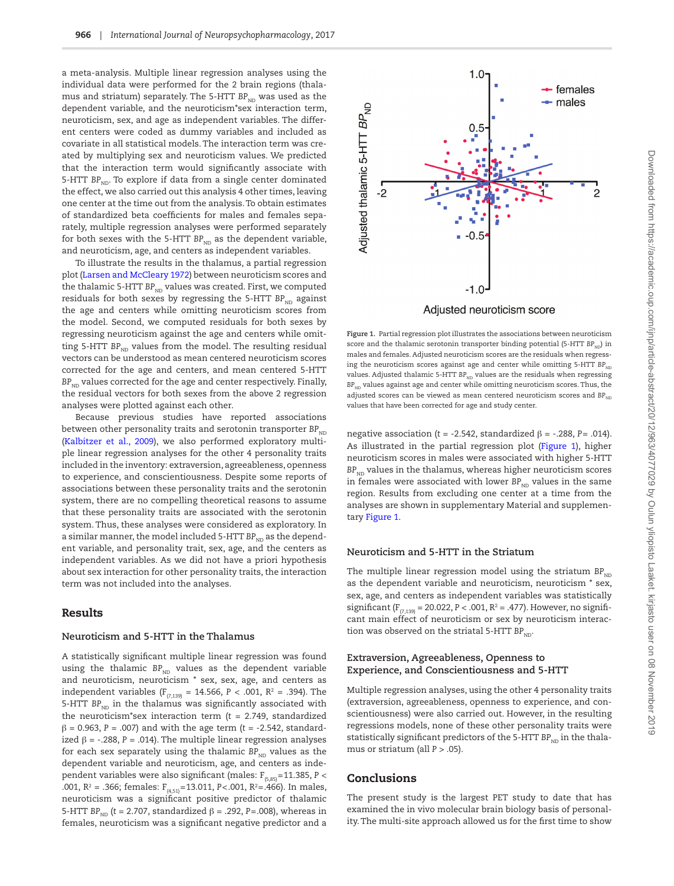a meta-analysis. Multiple linear regression analyses using the individual data were performed for the 2 brain regions (thalamus and striatum) separately. The 5-HTT  $BP_{ND}$  was used as the dependent variable, and the neuroticism\*sex interaction term, neuroticism, sex, and age as independent variables. The different centers were coded as dummy variables and included as covariate in all statistical models. The interaction term was created by multiplying sex and neuroticism values. We predicted that the interaction term would significantly associate with 5-HTT BP<sub>ND</sub>. To explore if data from a single center dominated the effect, we also carried out this analysis 4 other times, leaving one center at the time out from the analysis. To obtain estimates of standardized beta coefficients for males and females separately, multiple regression analyses were performed separately for both sexes with the 5-HTT *BP*<sub>ND</sub> as the dependent variable, and neuroticism, age, and centers as independent variables.

To illustrate the results in the thalamus, a partial regression plot [\(Larsen and McCleary 1972](#page-6-13)) between neuroticism scores and the thalamic 5-HTT  $BP_{ND}$  values was created. First, we computed residuals for both sexes by regressing the 5-HTT *BP*<sub>ND</sub> against the age and centers while omitting neuroticism scores from the model. Second, we computed residuals for both sexes by regressing neuroticism against the age and centers while omitting 5-HTT *BP<sub>ND</sub>* values from the model. The resulting residual vectors can be understood as mean centered neuroticism scores corrected for the age and centers, and mean centered 5-HTT *BP*<sub>ND</sub></sub> values corrected for the age and center respectively. Finally, the residual vectors for both sexes from the above 2 regression analyses were plotted against each other.

Because previous studies have reported associations between other personality traits and serotonin transporter *BP*<sub>ND</sub> ([Kalbitzer et al., 2009\)](#page-6-6), we also performed exploratory multiple linear regression analyses for the other 4 personality traits included in the inventory: extraversion, agreeableness, openness to experience, and conscientiousness. Despite some reports of associations between these personality traits and the serotonin system, there are no compelling theoretical reasons to assume that these personality traits are associated with the serotonin system. Thus, these analyses were considered as exploratory. In a similar manner, the model included 5-HTT BP<sub>ND</sub> as the dependent variable, and personality trait, sex, age, and the centers as independent variables. As we did not have a priori hypothesis about sex interaction for other personality traits, the interaction term was not included into the analyses.

#### Results

#### **Neuroticism and 5-HTT in the Thalamus**

A statistically significant multiple linear regression was found using the thalamic  $BP_{ND}$  values as the dependent variable and neuroticism, neuroticism \* sex, sex, age, and centers as independent variables (F<sub>(7,139)</sub> = 14.566, P < .001, R<sup>2</sup> = .394). The 5-HTT BP<sub>ND</sub> in the thalamus was significantly associated with the neuroticism\*sex interaction term (*t* = 2.749, standardized β = 0.963, *P* = .007) and with the age term (*t* = -2.542, standardized  $β = -0.288$ ,  $P = 0.014$ ). The multiple linear regression analyses for each sex separately using the thalamic *BP<sub>ND</sub>* values as the dependent variable and neuroticism, age, and centers as independent variables were also significant (males: F<sub>(5,85)</sub>=11.385, P < .001, R2 = .366; females: F(4,51)=13.011, *P*<.001, R2=.466). In males, neuroticism was a significant positive predictor of thalamic 5-HTT *BP*<sub>ND</sub> (*t* = 2.707, standardized  $β$  = .292, *P*=.008), whereas in females, neuroticism was a significant negative predictor and a



<span id="page-3-0"></span>**Figure 1.** Partial regression plot illustrates the associations between neuroticism score and the thalamic serotonin transporter binding potential (5-HTT  $BP_{nm}$ ) in males and females. Adjusted neuroticism scores are the residuals when regressing the neuroticism scores against age and center while omitting 5-HTT  $BP_{ND}$ values. Adjusted thalamic 5-HTT BP<sub>ND</sub> values are the residuals when regressing *BP<sub>ND</sub>* values against age and center while omitting neuroticism scores. Thus, the adjusted scores can be viewed as mean centered neuroticism scores and *BP*<sub>ND</sub> values that have been corrected for age and study center.

negative association (*t* = -2.542, standardized β = -.288, *P*= .014). As illustrated in the partial regression plot [\(Figure 1\)](#page-3-0), higher neuroticism scores in males were associated with higher 5-HTT *BP<sub>ND</sub>* values in the thalamus, whereas higher neuroticism scores in females were associated with lower *BP*<sub>ND</sub> values in the same region. Results from excluding one center at a time from the analyses are shown in supplementary Material and supplementary [Figure 1](#page-3-0).

#### **Neuroticism and 5-HTT in the Striatum**

The multiple linear regression model using the striatum *BP*<sub>ND</sub> as the dependent variable and neuroticism, neuroticism \* sex, sex, age, and centers as independent variables was statistically  ${\rm significant}$  (F<sub>(7,139)</sub> = 20.022, P < .001, R<sup>2</sup> = .477). However, no significant main effect of neuroticism or sex by neuroticism interaction was observed on the striatal 5-HTT BP<sub>ND</sub>.

#### **Extraversion, Agreeableness, Openness to Experience, and Conscientiousness and 5-HTT**

Multiple regression analyses, using the other 4 personality traits (extraversion, agreeableness, openness to experience, and conscientiousness) were also carried out. However, in the resulting regressions models, none of these other personality traits were statistically significant predictors of the 5-HTT BP<sub>ND</sub> in the thalamus or striatum (all *P* > .05).

#### Conclusions

The present study is the largest PET study to date that has examined the in vivo molecular brain biology basis of personality. The multi-site approach allowed us for the first time to show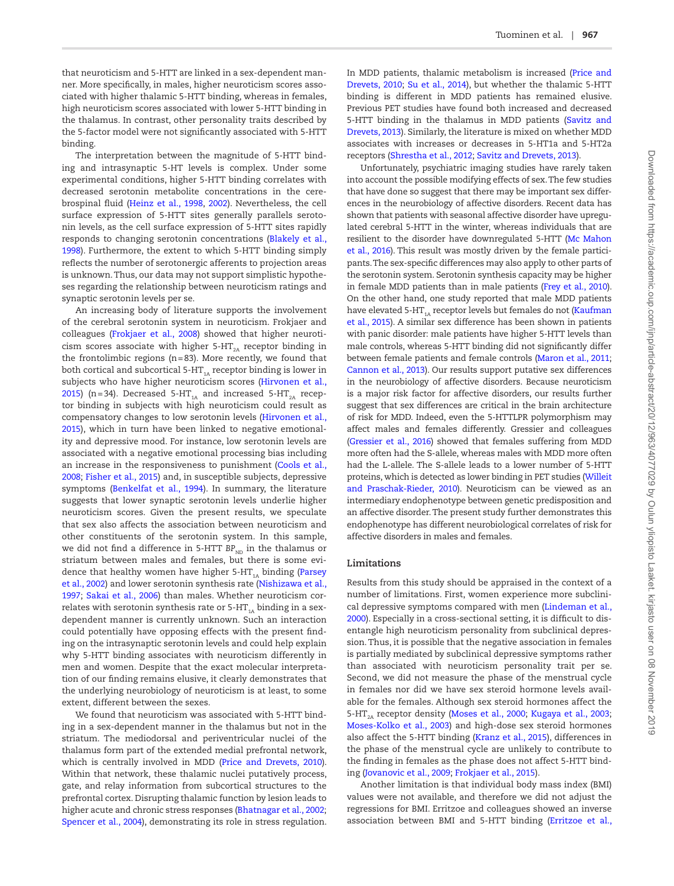that neuroticism and 5-HTT are linked in a sex-dependent manner. More specifically, in males, higher neuroticism scores associated with higher thalamic 5-HTT binding, whereas in females, high neuroticism scores associated with lower 5-HTT binding in the thalamus. In contrast, other personality traits described by the 5-factor model were not significantly associated with 5-HTT binding.

The interpretation between the magnitude of 5-HTT binding and intrasynaptic 5-HT levels is complex. Under some experimental conditions, higher 5-HTT binding correlates with decreased serotonin metabolite concentrations in the cerebrospinal fluid [\(Heinz et al., 1998](#page-6-14), [2002\)](#page-6-15). Nevertheless, the cell surface expression of 5-HTT sites generally parallels serotonin levels, as the cell surface expression of 5-HTT sites rapidly responds to changing serotonin concentrations [\(Blakely et al.,](#page-5-3)  [1998](#page-5-3)). Furthermore, the extent to which 5-HTT binding simply reflects the number of serotonergic afferents to projection areas is unknown. Thus, our data may not support simplistic hypotheses regarding the relationship between neuroticism ratings and synaptic serotonin levels per se.

An increasing body of literature supports the involvement of the cerebral serotonin system in neuroticism. Frokjaer and colleagues [\(Frokjaer et al., 2008](#page-6-16)) showed that higher neuroticism scores associate with higher 5-HT<sub>2A</sub> receptor binding in the frontolimbic regions (n=83). More recently, we found that both cortical and subcortical  $5-HT_{1A}$  receptor binding is lower in subjects who have higher neuroticism scores ([Hirvonen et al.,](#page-6-17)  [2015](#page-6-17)) (n=34). Decreased 5-HT<sub>1A</sub> and increased 5-HT<sub>2A</sub> receptor binding in subjects with high neuroticism could result as compensatory changes to low serotonin levels ([Hirvonen et al.,](#page-6-17)  [2015](#page-6-17)), which in turn have been linked to negative emotionality and depressive mood. For instance, low serotonin levels are associated with a negative emotional processing bias including an increase in the responsiveness to punishment [\(Cools et al.,](#page-5-4)  [2008](#page-5-4); [Fisher et al., 2015](#page-6-18)) and, in susceptible subjects, depressive symptoms ([Benkelfat et al., 1994\)](#page-5-5). In summary, the literature suggests that lower synaptic serotonin levels underlie higher neuroticism scores. Given the present results, we speculate that sex also affects the association between neuroticism and other constituents of the serotonin system. In this sample, we did not find a difference in 5-HTT  $BP_{ND}$  in the thalamus or striatum between males and females, but there is some evidence that healthy women have higher  $5-HT_{1A}$  binding (Parsey [et al., 2002\)](#page-7-10) and lower serotonin synthesis rate ([Nishizawa et al.,](#page-7-11)  [1997](#page-7-11); [Sakai et al., 2006\)](#page-7-12) than males. Whether neuroticism correlates with serotonin synthesis rate or  $5-HT_{1A}$  binding in a sexdependent manner is currently unknown. Such an interaction could potentially have opposing effects with the present finding on the intrasynaptic serotonin levels and could help explain why 5-HTT binding associates with neuroticism differently in men and women. Despite that the exact molecular interpretation of our finding remains elusive, it clearly demonstrates that the underlying neurobiology of neuroticism is at least, to some extent, different between the sexes.

We found that neuroticism was associated with 5-HTT binding in a sex-dependent manner in the thalamus but not in the striatum. The mediodorsal and periventricular nuclei of the thalamus form part of the extended medial prefrontal network, which is centrally involved in MDD [\(Price and Drevets, 2010\)](#page-7-13). Within that network, these thalamic nuclei putatively process, gate, and relay information from subcortical structures to the prefrontal cortex. Disrupting thalamic function by lesion leads to higher acute and chronic stress responses ([Bhatnagar et al., 2002;](#page-5-6) [Spencer et al., 2004](#page-7-14)), demonstrating its role in stress regulation.

In MDD patients, thalamic metabolism is increased ([Price and](#page-7-13)  [Drevets, 2010](#page-7-13); [Su et al., 2014](#page-7-15)), but whether the thalamic 5-HTT binding is different in MDD patients has remained elusive. Previous PET studies have found both increased and decreased 5-HTT binding in the thalamus in MDD patients ([Savitz and](#page-7-16)  [Drevets, 2013](#page-7-16)). Similarly, the literature is mixed on whether MDD associates with increases or decreases in 5-HT1a and 5-HT2a receptors ([Shrestha et al., 2012](#page-7-17); [Savitz and Drevets, 2013](#page-7-16)).

Unfortunately, psychiatric imaging studies have rarely taken into account the possible modifying effects of sex. The few studies that have done so suggest that there may be important sex differences in the neurobiology of affective disorders. Recent data has shown that patients with seasonal affective disorder have upregulated cerebral 5-HTT in the winter, whereas individuals that are resilient to the disorder have downregulated 5-HTT ([Mc Mahon](#page-7-18)  [et al., 2016](#page-7-18)). This result was mostly driven by the female participants. The sex-specific differences may also apply to other parts of the serotonin system. Serotonin synthesis capacity may be higher in female MDD patients than in male patients [\(Frey et al., 2010\)](#page-6-19). On the other hand, one study reported that male MDD patients have elevated 5-HT<sub>1</sub> receptor levels but females do not (Kaufman [et al., 2015\)](#page-6-20). A similar sex difference has been shown in patients with panic disorder: male patients have higher 5-HTT levels than male controls, whereas 5-HTT binding did not significantly differ between female patients and female controls [\(Maron et al., 2011;](#page-7-19) [Cannon et al., 2013](#page-5-7)). Our results support putative sex differences in the neurobiology of affective disorders. Because neuroticism is a major risk factor for affective disorders, our results further suggest that sex differences are critical in the brain architecture of risk for MDD. Indeed, even the 5-HTTLPR polymorphism may affect males and females differently. Gressier and colleagues ([Gressier et al., 2016\)](#page-6-5) showed that females suffering from MDD more often had the S-allele, whereas males with MDD more often had the L-allele. The S-allele leads to a lower number of 5-HTT proteins, which is detected as lower binding in PET studies [\(Willeit](#page-7-20)  [and Praschak-Rieder, 2010\)](#page-7-20). Neuroticism can be viewed as an intermediary endophenotype between genetic predisposition and an affective disorder. The present study further demonstrates this endophenotype has different neurobiological correlates of risk for affective disorders in males and females.

#### **Limitations**

Results from this study should be appraised in the context of a number of limitations. First, women experience more subclinical depressive symptoms compared with men [\(Lindeman et al.,](#page-6-0)  [2000](#page-6-0)). Especially in a cross-sectional setting, it is difficult to disentangle high neuroticism personality from subclinical depression. Thus, it is possible that the negative association in females is partially mediated by subclinical depressive symptoms rather than associated with neuroticism personality trait per se. Second, we did not measure the phase of the menstrual cycle in females nor did we have sex steroid hormone levels available for the females. Although sex steroid hormones affect the 5-HT<sub>2A</sub> receptor density ([Moses et al., 2000](#page-7-21); [Kugaya et al., 2003;](#page-6-21) [Moses-Kolko et al., 2003\)](#page-7-22) and high-dose sex steroid hormones also affect the 5-HTT binding [\(Kranz et al., 2015](#page-6-22)), differences in the phase of the menstrual cycle are unlikely to contribute to the finding in females as the phase does not affect 5-HTT binding ([Jovanovic et al., 2009](#page-6-23); [Frokjaer et al., 2015\)](#page-6-18).

Another limitation is that individual body mass index (BMI) values were not available, and therefore we did not adjust the regressions for BMI. Erritzoe and colleagues showed an inverse association between BMI and 5-HTT binding [\(Erritzoe et al.,](#page-6-7)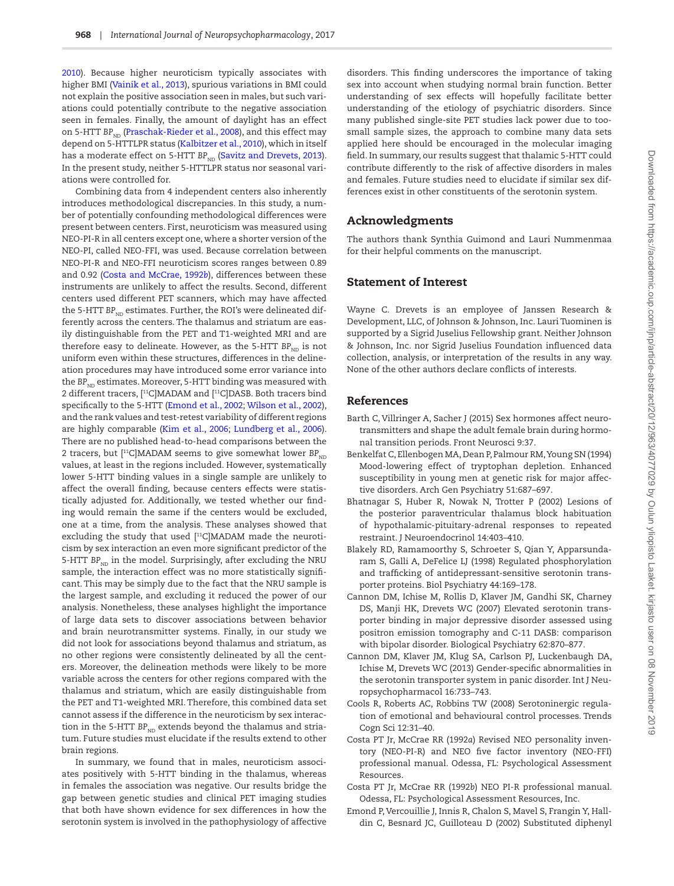[2010](#page-6-7)). Because higher neuroticism typically associates with higher BMI [\(Vainik et al., 2013](#page-7-23)), spurious variations in BMI could not explain the positive association seen in males, but such variations could potentially contribute to the negative association seen in females. Finally, the amount of daylight has an effect on 5-HTT *BP<sub>ND</sub>* [\(Praschak-Rieder et al., 2008](#page-7-24)), and this effect may depend on 5-HTTLPR status [\(Kalbitzer et al., 2010](#page-6-7)), which in itself has a moderate effect on 5-HTT *BP<sub>ND</sub>* ([Savitz and Drevets, 2013](#page-7-16)). In the present study, neither 5-HTTLPR status nor seasonal variations were controlled for.

Combining data from 4 independent centers also inherently introduces methodological discrepancies. In this study, a number of potentially confounding methodological differences were present between centers. First, neuroticism was measured using NEO-PI-R in all centers except one, where a shorter version of the NEO-PI, called NEO-FFI, was used. Because correlation between NEO-PI-R and NEO-FFI neuroticism scores ranges between 0.89 and 0.92 [\(Costa and McCrae, 1992](#page-5-0)*b*), differences between these instruments are unlikely to affect the results. Second, different centers used different PET scanners, which may have affected the 5-HTT BP<sub>ND</sub> estimates. Further, the ROI's were delineated differently across the centers. The thalamus and striatum are easily distinguishable from the PET and T1-weighted MRI and are therefore easy to delineate. However, as the 5-HTT *BP*<sub>ND</sub> is not uniform even within these structures, differences in the delineation procedures may have introduced some error variance into the *BP*<sub>ND</sub> estimates. Moreover, 5-HTT binding was measured with 2 different tracers, [11C]MADAM and [11C]DASB. Both tracers bind specifically to the 5-HTT [\(Emond et al., 2002;](#page-5-8) [Wilson et al., 2002](#page-7-25)), and the rank values and test-retest variability of different regions are highly comparable ([Kim et al., 2006;](#page-6-24) [Lundberg et al., 2006](#page-6-25)). There are no published head-to-head comparisons between the 2 tracers, but [<sup>11</sup>C]MADAM seems to give somewhat lower *BP*<sub>ND</sub> values, at least in the regions included. However, systematically lower 5-HTT binding values in a single sample are unlikely to affect the overall finding, because centers effects were statistically adjusted for. Additionally, we tested whether our finding would remain the same if the centers would be excluded, one at a time, from the analysis. These analyses showed that excluding the study that used [11C]MADAM made the neuroticism by sex interaction an even more significant predictor of the 5-HTT BP<sub>ND</sub> in the model. Surprisingly, after excluding the NRU sample, the interaction effect was no more statistically significant. This may be simply due to the fact that the NRU sample is the largest sample, and excluding it reduced the power of our analysis. Nonetheless, these analyses highlight the importance of large data sets to discover associations between behavior and brain neurotransmitter systems. Finally, in our study we did not look for associations beyond thalamus and striatum, as no other regions were consistently delineated by all the centers. Moreover, the delineation methods were likely to be more variable across the centers for other regions compared with the thalamus and striatum, which are easily distinguishable from the PET and T1-weighted MRI. Therefore, this combined data set cannot assess if the difference in the neuroticism by sex interaction in the 5-HTT  $BP_{ND}$  extends beyond the thalamus and striatum. Future studies must elucidate if the results extend to other brain regions.

In summary, we found that in males, neuroticism associates positively with 5-HTT binding in the thalamus, whereas in females the association was negative. Our results bridge the gap between genetic studies and clinical PET imaging studies that both have shown evidence for sex differences in how the serotonin system is involved in the pathophysiology of affective

disorders. This finding underscores the importance of taking sex into account when studying normal brain function. Better understanding of sex effects will hopefully facilitate better understanding of the etiology of psychiatric disorders. Since many published single-site PET studies lack power due to toosmall sample sizes, the approach to combine many data sets applied here should be encouraged in the molecular imaging field. In summary, our results suggest that thalamic 5-HTT could contribute differently to the risk of affective disorders in males and females. Future studies need to elucidate if similar sex differences exist in other constituents of the serotonin system.

#### Acknowledgments

The authors thank Synthia Guimond and Lauri Nummenmaa for their helpful comments on the manuscript.

#### Statement of Interest

Wayne C. Drevets is an employee of Janssen Research & Development, LLC, of Johnson & Johnson, Inc. Lauri Tuominen is supported by a Sigrid Juselius Fellowship grant. Neither Johnson & Johnson, Inc. nor Sigrid Juselius Foundation influenced data collection, analysis, or interpretation of the results in any way. None of the other authors declare conflicts of interests.

#### References

- <span id="page-5-1"></span>Barth C, Villringer A, Sacher J (2015) Sex hormones affect neurotransmitters and shape the adult female brain during hormonal transition periods. Front Neurosci 9:37.
- <span id="page-5-5"></span>Benkelfat C, Ellenbogen MA, Dean P, Palmour RM, Young SN (1994) Mood-lowering effect of tryptophan depletion. Enhanced susceptibility in young men at genetic risk for major affective disorders. Arch Gen Psychiatry 51:687–697.
- <span id="page-5-6"></span>Bhatnagar S, Huber R, Nowak N, Trotter P (2002) Lesions of the posterior paraventricular thalamus block habituation of hypothalamic-pituitary-adrenal responses to repeated restraint. J Neuroendocrinol 14:403–410.
- <span id="page-5-3"></span>Blakely RD, Ramamoorthy S, Schroeter S, Qian Y, Apparsundaram S, Galli A, DeFelice LJ (1998) Regulated phosphorylation and trafficking of antidepressant-sensitive serotonin transporter proteins. Biol Psychiatry 44:169–178.
- <span id="page-5-2"></span>Cannon DM, Ichise M, Rollis D, Klaver JM, Gandhi SK, Charney DS, Manji HK, Drevets WC (2007) Elevated serotonin transporter binding in major depressive disorder assessed using positron emission tomography and C-11 DASB: comparison with bipolar disorder. Biological Psychiatry 62:870–877.
- <span id="page-5-7"></span>Cannon DM, Klaver JM, Klug SA, Carlson PJ, Luckenbaugh DA, Ichise M, Drevets WC (2013) Gender-specific abnormalities in the serotonin transporter system in panic disorder. Int J Neuropsychopharmacol 16:733–743.
- <span id="page-5-4"></span>Cools R, Roberts AC, Robbins TW (2008) Serotoninergic regulation of emotional and behavioural control processes. Trends Cogn Sci 12:31–40.
- <span id="page-5-0"></span>Costa PT Jr, McCrae RR (1992*a*) Revised NEO personality inventory (NEO-PI-R) and NEO five factor inventory (NEO-FFI) professional manual. Odessa, FL: Psychological Assessment Resources.
- Costa PT Jr, McCrae RR (1992*b*) NEO PI-R professional manual. Odessa, FL: Psychological Assessment Resources, Inc.
- <span id="page-5-8"></span>Emond P, Vercouillie J, Innis R, Chalon S, Mavel S, Frangin Y, Halldin C, Besnard JC, Guilloteau D (2002) Substituted diphenyl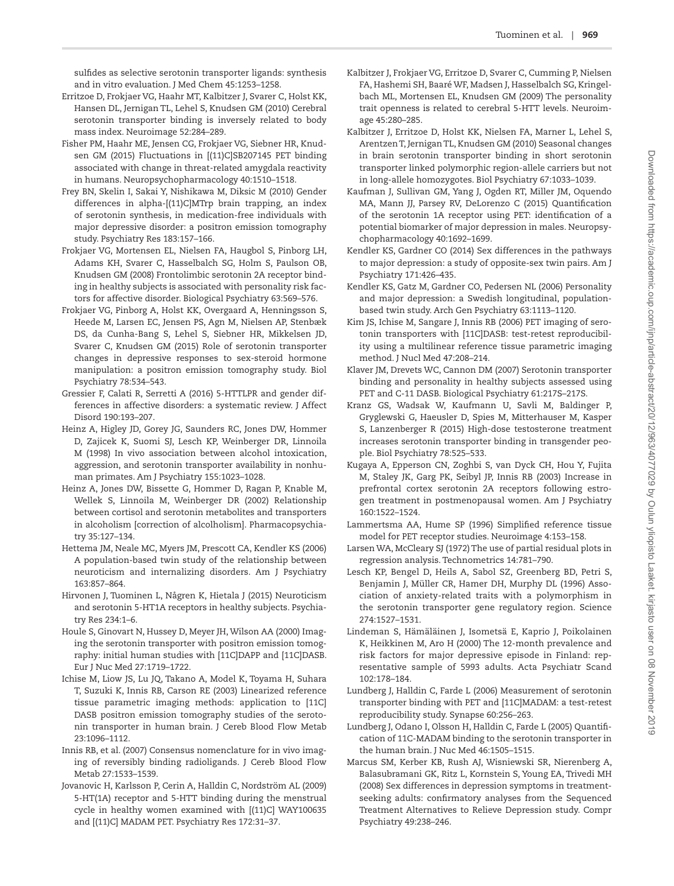sulfides as selective serotonin transporter ligands: synthesis and in vitro evaluation. J Med Chem 45:1253–1258.

- <span id="page-6-7"></span>Erritzoe D, Frokjaer VG, Haahr MT, Kalbitzer J, Svarer C, Holst KK, Hansen DL, Jernigan TL, Lehel S, Knudsen GM (2010) Cerebral serotonin transporter binding is inversely related to body mass index. Neuroimage 52:284–289.
- <span id="page-6-18"></span>Fisher PM, Haahr ME, Jensen CG, Frokjaer VG, Siebner HR, Knudsen GM (2015) Fluctuations in [(11)C]SB207145 PET binding associated with change in threat-related amygdala reactivity in humans. Neuropsychopharmacology 40:1510–1518.
- <span id="page-6-19"></span>Frey BN, Skelin I, Sakai Y, Nishikawa M, Diksic M (2010) Gender differences in alpha-[(11)C]MTrp brain trapping, an index of serotonin synthesis, in medication-free individuals with major depressive disorder: a positron emission tomography study. Psychiatry Res 183:157–166.
- <span id="page-6-16"></span>Frokjaer VG, Mortensen EL, Nielsen FA, Haugbol S, Pinborg LH, Adams KH, Svarer C, Hasselbalch SG, Holm S, Paulson OB, Knudsen GM (2008) Frontolimbic serotonin 2A receptor binding in healthy subjects is associated with personality risk factors for affective disorder. Biological Psychiatry 63:569–576.
- Frokjaer VG, Pinborg A, Holst KK, Overgaard A, Henningsson S, Heede M, Larsen EC, Jensen PS, Agn M, Nielsen AP, Stenbæk DS, da Cunha-Bang S, Lehel S, Siebner HR, Mikkelsen JD, Svarer C, Knudsen GM (2015) Role of serotonin transporter changes in depressive responses to sex-steroid hormone manipulation: a positron emission tomography study. Biol Psychiatry 78:534–543.
- <span id="page-6-5"></span>Gressier F, Calati R, Serretti A (2016) 5-HTTLPR and gender differences in affective disorders: a systematic review. J Affect Disord 190:193–207.
- <span id="page-6-14"></span>Heinz A, Higley JD, Gorey JG, Saunders RC, Jones DW, Hommer D, Zajicek K, Suomi SJ, Lesch KP, Weinberger DR, Linnoila M (1998) In vivo association between alcohol intoxication, aggression, and serotonin transporter availability in nonhuman primates. Am J Psychiatry 155:1023–1028.
- <span id="page-6-15"></span>Heinz A, Jones DW, Bissette G, Hommer D, Ragan P, Knable M, Wellek S, Linnoila M, Weinberger DR (2002) Relationship between cortisol and serotonin metabolites and transporters in alcoholism [correction of alcolholism]. Pharmacopsychiatry 35:127–134.
- <span id="page-6-1"></span>Hettema JM, Neale MC, Myers JM, Prescott CA, Kendler KS (2006) A population-based twin study of the relationship between neuroticism and internalizing disorders. Am J Psychiatry 163:857–864.
- <span id="page-6-17"></span>Hirvonen J, Tuominen L, Någren K, Hietala J (2015) Neuroticism and serotonin 5-HT1A receptors in healthy subjects. Psychiatry Res 234:1–6.
- <span id="page-6-9"></span>Houle S, Ginovart N, Hussey D, Meyer JH, Wilson AA (2000) Imaging the serotonin transporter with positron emission tomography: initial human studies with [11C]DAPP and [11C]DASB. Eur J Nuc Med 27:1719–1722.
- <span id="page-6-11"></span>Ichise M, Liow JS, Lu JQ, Takano A, Model K, Toyama H, Suhara T, Suzuki K, Innis RB, Carson RE (2003) Linearized reference tissue parametric imaging methods: application to [11C] DASB positron emission tomography studies of the serotonin transporter in human brain. J Cereb Blood Flow Metab 23:1096–1112.
- <span id="page-6-12"></span>Innis RB, et al. (2007) Consensus nomenclature for in vivo imaging of reversibly binding radioligands. J Cereb Blood Flow Metab 27:1533–1539.
- <span id="page-6-23"></span>Jovanovic H, Karlsson P, Cerin A, Halldin C, Nordström AL (2009) 5-HT(1A) receptor and 5-HTT binding during the menstrual cycle in healthy women examined with [(11)C] WAY100635 and [(11)C] MADAM PET. Psychiatry Res 172:31–37.
- <span id="page-6-6"></span>Kalbitzer J, Frokjaer VG, Erritzoe D, Svarer C, Cumming P, Nielsen FA, Hashemi SH, Baaré WF, Madsen J, Hasselbalch SG, Kringelbach ML, Mortensen EL, Knudsen GM (2009) The personality trait openness is related to cerebral 5-HTT levels. Neuroimage 45:280–285.
- Kalbitzer J, Erritzoe D, Holst KK, Nielsen FA, Marner L, Lehel S, Arentzen T, Jernigan TL, Knudsen GM (2010) Seasonal changes in brain serotonin transporter binding in short serotonin transporter linked polymorphic region-allele carriers but not in long-allele homozygotes. Biol Psychiatry 67:1033–1039.
- <span id="page-6-20"></span>Kaufman J, Sullivan GM, Yang J, Ogden RT, Miller JM, Oquendo MA, Mann JJ, Parsey RV, DeLorenzo C (2015) Quantification of the serotonin 1A receptor using PET: identification of a potential biomarker of major depression in males. Neuropsychopharmacology 40:1692–1699.
- <span id="page-6-2"></span>Kendler KS, Gardner CO (2014) Sex differences in the pathways to major depression: a study of opposite-sex twin pairs. Am J Psychiatry 171:426–435.
- Kendler KS, Gatz M, Gardner CO, Pedersen NL (2006) Personality and major depression: a Swedish longitudinal, populationbased twin study. Arch Gen Psychiatry 63:1113–1120.
- <span id="page-6-24"></span>Kim JS, Ichise M, Sangare J, Innis RB (2006) PET imaging of serotonin transporters with [11C]DASB: test-retest reproducibility using a multilinear reference tissue parametric imaging method. J Nucl Med 47:208–214.
- Klaver JM, Drevets WC, Cannon DM (2007) Serotonin transporter binding and personality in healthy subjects assessed using PET and C-11 DASB. Biological Psychiatry 61:217S–217S.
- <span id="page-6-22"></span>Kranz GS, Wadsak W, Kaufmann U, Savli M, Baldinger P, Gryglewski G, Haeusler D, Spies M, Mitterhauser M, Kasper S, Lanzenberger R (2015) High-dose testosterone treatment increases serotonin transporter binding in transgender people. Biol Psychiatry 78:525–533.
- <span id="page-6-21"></span>Kugaya A, Epperson CN, Zoghbi S, van Dyck CH, Hou Y, Fujita M, Staley JK, Garg PK, Seibyl JP, Innis RB (2003) Increase in prefrontal cortex serotonin 2A receptors following estrogen treatment in postmenopausal women. Am J Psychiatry 160:1522–1524.
- <span id="page-6-10"></span>Lammertsma AA, Hume SP (1996) Simplified reference tissue model for PET receptor studies. Neuroimage 4:153–158.
- <span id="page-6-13"></span>Larsen WA, McCleary SJ (1972) The use of partial residual plots in regression analysis. Technometrics 14:781–790.
- <span id="page-6-4"></span>Lesch KP, Bengel D, Heils A, Sabol SZ, Greenberg BD, Petri S, Benjamin J, Müller CR, Hamer DH, Murphy DL (1996) Association of anxiety-related traits with a polymorphism in the serotonin transporter gene regulatory region. Science 274:1527–1531.
- <span id="page-6-0"></span>Lindeman S, Hämäläinen J, Isometsä E, Kaprio J, Poikolainen K, Heikkinen M, Aro H (2000) The 12-month prevalence and risk factors for major depressive episode in Finland: representative sample of 5993 adults. Acta Psychiatr Scand 102:178–184.
- <span id="page-6-25"></span>Lundberg J, Halldin C, Farde L (2006) Measurement of serotonin transporter binding with PET and [11C]MADAM: a test-retest reproducibility study. Synapse 60:256–263.
- <span id="page-6-8"></span>Lundberg J, Odano I, Olsson H, Halldin C, Farde L (2005) Quantification of 11C-MADAM binding to the serotonin transporter in the human brain. J Nuc Med 46:1505–1515.
- <span id="page-6-3"></span>Marcus SM, Kerber KB, Rush AJ, Wisniewski SR, Nierenberg A, Balasubramani GK, Ritz L, Kornstein S, Young EA, Trivedi MH (2008) Sex differences in depression symptoms in treatmentseeking adults: confirmatory analyses from the Sequenced Treatment Alternatives to Relieve Depression study. Compr Psychiatry 49:238–246.